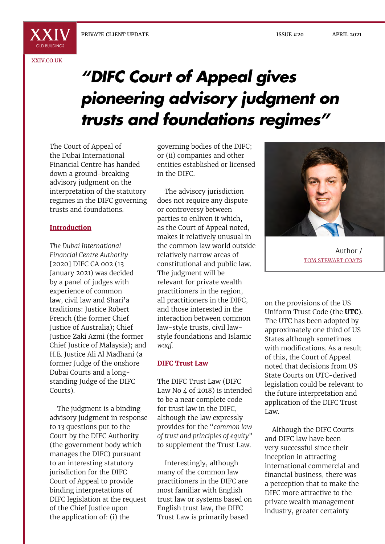X X I

[XXIV.CO.UK](http://xxiv.co.uk)

# *"DIFC Court of Appeal gives pioneering advisory judgment on trusts and foundations regimes"*

The Court of Appeal of the Dubai International Financial Centre has handed down a ground-breaking advisory judgment on the interpretation of the statutory regimes in the DIFC governing trusts and foundations.

## **Introduction**

*The Dubai International Financial Centre Authority* [2020] DIFC CA 002 (13 January 2021) was decided by a panel of judges with experience of common law, civil law and Shari'a traditions: Justice Robert French (the former Chief Justice of Australia); Chief Justice Zaki Azmi (the former Chief Justice of Malaysia); and H.E. Justice Ali Al Madhani (a former Judge of the onshore Dubai Courts and a longstanding Judge of the DIFC Courts).

The judgment is a binding advisory judgment in response to 13 questions put to the Court by the DIFC Authority (the government body which manages the DIFC) pursuant to an interesting statutory jurisdiction for the DIFC Court of Appeal to provide binding interpretations of DIFC legislation at the request of the Chief Justice upon the application of: (i) the

governing bodies of the DIFC; or (ii) companies and other entities established or licensed in the DIFC.

The advisory jurisdiction does not require any dispute or controversy between parties to enliven it which, as the Court of Appeal noted, makes it relatively unusual in the common law world outside relatively narrow areas of constitutional and public law. The judgment will be relevant for private wealth practitioners in the region, all practitioners in the DIFC, and those interested in the interaction between common law-style trusts, civil lawstyle foundations and Islamic *waqf*.

#### **DIFC Trust Law**

The DIFC Trust Law (DIFC Law No 4 of 2018) is intended to be a near complete code for trust law in the DIFC, although the law expressly provides for the "*common law of trust and principles of equity*" to supplement the Trust Law.

Interestingly, although many of the common law practitioners in the DIFC are most familiar with English trust law or systems based on English trust law, the DIFC Trust Law is primarily based



Author / TOM STEWART COATS

on the provisions of the US Uniform Trust Code (the **UTC**). The UTC has been adopted by approximately one third of US States although sometimes with modifications. As a result of this, the Court of Appeal noted that decisions from US State Courts on UTC-derived legislation could be relevant to the future interpretation and application of the DIFC Trust Law.

Although the DIFC Courts and DIFC law have been very successful since their inception in attracting international commercial and financial business, there was a perception that to make the DIFC more attractive to the private wealth management industry, greater certainty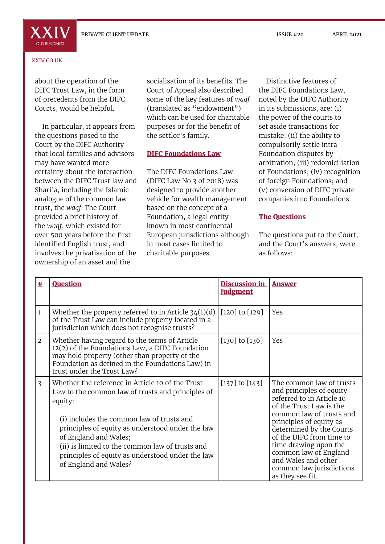ISSUE #20 APRIL 2021



#### [XXIV.CO.UK](http://xxiv.co.uk)

about the operation of the DIFC Trust Law, in the form of precedents from the DIFC Courts, would be helpful.

In particular, it appears from the questions posed to the Court by the DIFC Authority that local families and advisors may have wanted more certainty about the interaction between the DIFC Trust law and Shari'a, including the Islamic analogue of the common law trust, the *waqf*. The Court provided a brief history of the *waqf*, which existed for over 500 years before the first identified English trust, and involves the privatisation of the ownership of an asset and the

socialisation of its benefits. The Court of Appeal also described some of the key features of *waqf* (translated as "endowment") which can be used for charitable purposes or for the benefit of the settlor's family.

# **DIFC Foundations Law**

The DIFC Foundations Law (DIFC Law No 3 of 2018) was designed to provide another vehicle for wealth management based on the concept of a Foundation, a legal entity known in most continental European jurisdictions although in most cases limited to charitable purposes.

Distinctive features of the DIFC Foundations Law, noted by the DIFC Authority in its submissions, are: (i) the power of the courts to set aside transactions for mistake; (ii) the ability to compulsorily settle intra-Foundation disputes by arbitration; (iii) redomiciliation of Foundations; (iv) recognition of foreign Foundations; and (v) conversion of DIFC private companies into Foundations.

# **The Questions**

The questions put to the Court, and the Court's answers, were as follows:

| #              | <b>Question</b>                                                                                                                                                                                                                                                                                                                                                            | <b>Discussion in</b><br><b>Judgment</b> | <b>Answer</b>                                                                                                                                                                                                                                                                                                                                        |
|----------------|----------------------------------------------------------------------------------------------------------------------------------------------------------------------------------------------------------------------------------------------------------------------------------------------------------------------------------------------------------------------------|-----------------------------------------|------------------------------------------------------------------------------------------------------------------------------------------------------------------------------------------------------------------------------------------------------------------------------------------------------------------------------------------------------|
| 1              | Whether the property referred to in Article $34(1)(d)$<br>of the Trust Law can include property located in a<br>jurisdiction which does not recognise trusts?                                                                                                                                                                                                              | $[120]$ to $[129]$                      | Yes                                                                                                                                                                                                                                                                                                                                                  |
| $\overline{2}$ | Whether having regard to the terms of Article<br>12(2) of the Foundations Law, a DIFC Foundation<br>may hold property (other than property of the<br>Foundation as defined in the Foundations Law) in<br>trust under the Trust Law?                                                                                                                                        | $[130]$ to $[136]$                      | Yes                                                                                                                                                                                                                                                                                                                                                  |
| $\overline{3}$ | Whether the reference in Article 10 of the Trust<br>Law to the common law of trusts and principles of<br>equity:<br>(i) includes the common law of trusts and<br>principles of equity as understood under the law<br>of England and Wales;<br>(ii) is limited to the common law of trusts and<br>principles of equity as understood under the law<br>of England and Wales? | $[137]$ to $[143]$                      | The common law of trusts<br>and principles of equity<br>referred to in Article 10<br>of the Trust Law is the<br>common law of trusts and<br>principles of equity as<br>determined by the Courts<br>of the DIFC from time to<br>time drawing upon the<br>common law of England<br>and Wales and other<br>common law jurisdictions<br>as they see fit. |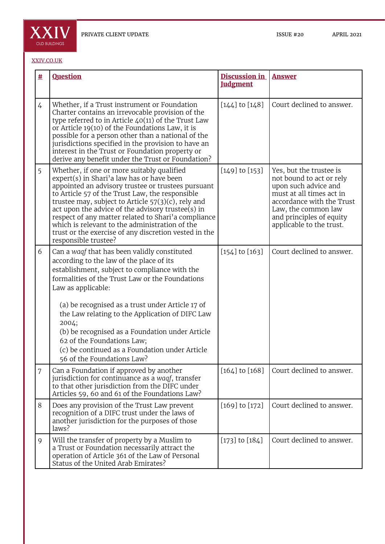

## [XXIV.CO.UK](http://xxiv.co.uk)

| 坓 | <b>Question</b>                                                                                                                                                                                                                                                                                                                                                                                                                                                                                          | <b>Discussion in</b><br><b>Judgment</b> | <b>Answer</b>                                                                                                                                                                                                       |
|---|----------------------------------------------------------------------------------------------------------------------------------------------------------------------------------------------------------------------------------------------------------------------------------------------------------------------------------------------------------------------------------------------------------------------------------------------------------------------------------------------------------|-----------------------------------------|---------------------------------------------------------------------------------------------------------------------------------------------------------------------------------------------------------------------|
| 4 | Whether, if a Trust instrument or Foundation<br>Charter contains an irrevocable provision of the<br>type referred to in Article $40(11)$ of the Trust Law<br>or Article 19(10) of the Foundations Law, it is<br>possible for a person other than a national of the<br>jurisdictions specified in the provision to have an<br>interest in the Trust or Foundation property or<br>derive any benefit under the Trust or Foundation?                                                                        | $[144]$ to $[148]$                      | Court declined to answer.                                                                                                                                                                                           |
| 5 | Whether, if one or more suitably qualified<br>expert(s) in Shari'a law has or have been<br>appointed an advisory trustee or trustees pursuant<br>to Article 57 of the Trust Law, the responsible<br>trustee may, subject to Article $57(3)(c)$ , rely and<br>act upon the advice of the advisory trustee(s) in<br>respect of any matter related to Shari'a compliance<br>which is relevant to the administration of the<br>trust or the exercise of any discretion vested in the<br>responsible trustee? | $[149]$ to $[153]$                      | Yes, but the trustee is<br>not bound to act or rely<br>upon such advice and<br>must at all times act in<br>accordance with the Trust<br>Law, the common law<br>and principles of equity<br>applicable to the trust. |
| 6 | Can a waqf that has been validly constituted<br>according to the law of the place of its<br>establishment, subject to compliance with the<br>formalities of the Trust Law or the Foundations<br>Law as applicable:                                                                                                                                                                                                                                                                                       | $[154]$ to $[163]$                      | Court declined to answer.                                                                                                                                                                                           |
|   | (a) be recognised as a trust under Article 17 of<br>the Law relating to the Application of DIFC Law<br>2004;<br>(b) be recognised as a Foundation under Article<br>62 of the Foundations Law;<br>(c) be continued as a Foundation under Article<br>56 of the Foundations Law?                                                                                                                                                                                                                            |                                         |                                                                                                                                                                                                                     |
| 7 | Can a Foundation if approved by another<br>jurisdiction for continuance as a waqf, transfer<br>to that other jurisdiction from the DIFC under<br>Articles 59, 60 and 61 of the Foundations Law?                                                                                                                                                                                                                                                                                                          | $[164]$ to $[168]$                      | Court declined to answer.                                                                                                                                                                                           |
| 8 | Does any provision of the Trust Law prevent<br>recognition of a DIFC trust under the laws of<br>another jurisdiction for the purposes of those<br>laws?                                                                                                                                                                                                                                                                                                                                                  | $[169]$ to $[172]$                      | Court declined to answer.                                                                                                                                                                                           |
| 9 | Will the transfer of property by a Muslim to<br>a Trust or Foundation necessarily attract the<br>operation of Article 361 of the Law of Personal<br>Status of the United Arab Emirates?                                                                                                                                                                                                                                                                                                                  | $[173]$ to $[184]$                      | Court declined to answer.                                                                                                                                                                                           |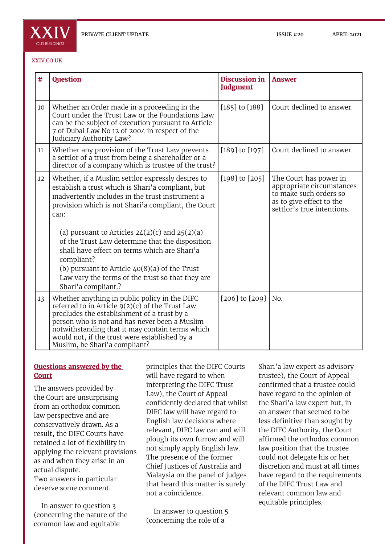

#### [XXIV.CO.UK](http://xxiv.co.uk)

| #  | <b>Question</b>                                                                                                                                                                                                                                                                                                                         | Discussion in<br><b>Judgment</b> | <b>Answer</b>                                                                                                                           |
|----|-----------------------------------------------------------------------------------------------------------------------------------------------------------------------------------------------------------------------------------------------------------------------------------------------------------------------------------------|----------------------------------|-----------------------------------------------------------------------------------------------------------------------------------------|
| 10 | Whether an Order made in a proceeding in the<br>Court under the Trust Law or the Foundations Law<br>can be the subject of execution pursuant to Article<br>7 of Dubai Law No 12 of 2004 in respect of the<br>Judiciary Authority Law?                                                                                                   | $[185]$ to $[188]$               | Court declined to answer.                                                                                                               |
| 11 | Whether any provision of the Trust Law prevents<br>a settlor of a trust from being a shareholder or a<br>director of a company which is trustee of the trust?                                                                                                                                                                           | $[189]$ to $[197]$               | Court declined to answer.                                                                                                               |
| 12 | Whether, if a Muslim settlor expressly desires to<br>establish a trust which is Shari'a compliant, but<br>inadvertently includes in the trust instrument a<br>provision which is not Shari'a compliant, the Court<br>can:<br>(a) pursuant to Articles $24(2)(c)$ and $25(2)(a)$                                                         | $[198]$ to $[205]$               | The Court has power in<br>appropriate circumstances<br>to make such orders so<br>as to give effect to the<br>settlor's true intentions. |
|    | of the Trust Law determine that the disposition<br>shall have effect on terms which are Shari'a<br>compliant?<br>(b) pursuant to Article $40(8)(a)$ of the Trust<br>Law vary the terms of the trust so that they are<br>Shari'a compliant.?                                                                                             |                                  |                                                                                                                                         |
| 13 | Whether anything in public policy in the DIFC<br>referred to in Article $9(2)(c)$ of the Trust Law<br>precludes the establishment of a trust by a<br>person who is not and has never been a Muslim<br>notwithstanding that it may contain terms which<br>would not, if the trust were established by a<br>Muslim, be Shari'a compliant? | $[206]$ to $[209]$               | No.                                                                                                                                     |

## **Questions answered by the Court**

The answers provided by the Court are unsurprising from an orthodox common law perspective and are conservatively drawn. As a result, the DIFC Courts have retained a lot of flexibility in applying the relevant provisions as and when they arise in an actual dispute.

Two answers in particular deserve some comment.

In answer to question 3 (concerning the nature of the common law and equitable

principles that the DIFC Courts will have regard to when interpreting the DIFC Trust Law), the Court of Appeal confidently declared that whilst DIFC law will have regard to English law decisions where relevant, DIFC law can and will plough its own furrow and will not simply apply English law. The presence of the former Chief Justices of Australia and Malaysia on the panel of judges that heard this matter is surely not a coincidence.

In answer to question 5 (concerning the role of a

Shari'a law expert as advisory trustee), the Court of Appeal confirmed that a trustee could have regard to the opinion of the Shari'a law expert but, in an answer that seemed to be less definitive than sought by the DIFC Authority, the Court affirmed the orthodox common law position that the trustee could not delegate his or her discretion and must at all times have regard to the requirements of the DIFC Trust Law and relevant common law and equitable principles.